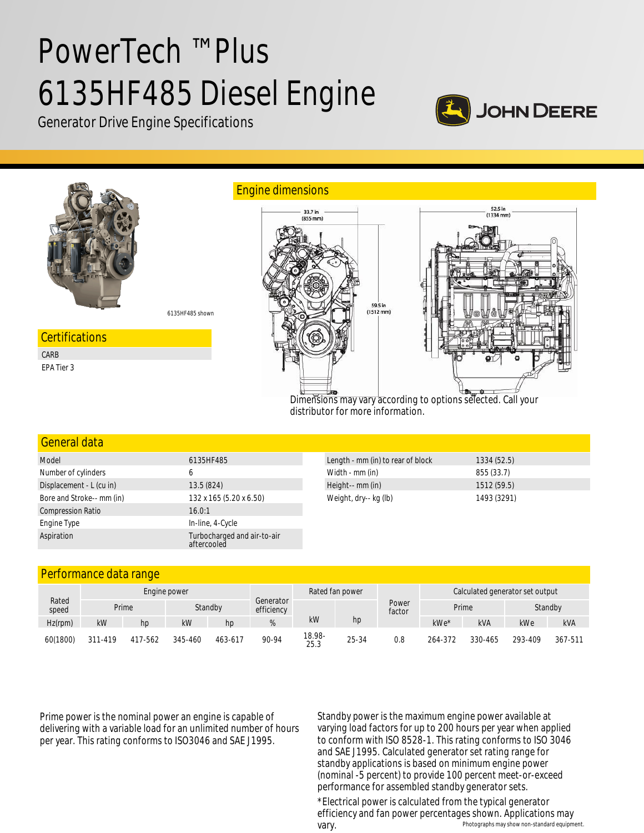# PowerTech ™ Plus 6135HF485 Diesel Engine







#### General data

| Model                     | 6135HF485                                  | Length - mm (in) to rear of block | 1334(52.5)  |
|---------------------------|--------------------------------------------|-----------------------------------|-------------|
| Number of cylinders       | 6                                          | Width - mm (in)                   | 855 (33.7)  |
| Displacement - L (cu in)  | 13.5(824)                                  | Height-- mm (in)                  | 1512(59.5)  |
| Bore and Stroke-- mm (in) | 132 x 165 (5.20 x 6.50)                    | Weight, dry-- kg (lb)             | 1493 (3291) |
| <b>Compression Ratio</b>  | 16.0:1                                     |                                   |             |
| Engine Type               | In-line, 4-Cycle                           |                                   |             |
| Aspiration                | Turbocharged and air-to-air<br>aftercooled |                                   |             |

#### Performance data range

| Rated<br>speed | Engine power |                  |           | Rated fan power |                         |                | Calculated generator set output |                 |         |            |         |            |
|----------------|--------------|------------------|-----------|-----------------|-------------------------|----------------|---------------------------------|-----------------|---------|------------|---------|------------|
|                |              | Standby<br>Prime |           |                 | Generator<br>efficiency |                |                                 | Power<br>factor | Prime   |            | Standby |            |
| $Hz$ (rpm)     | kW           | hp               | <b>kW</b> | hp              | %                       | kW             | hp                              |                 | kWe*    | <b>kVA</b> | kWe     | <b>kVA</b> |
| 60(1800)       | 311-419      | 417-562          | 345-460   | 463-617         | 90-94                   | 18.98-<br>25.3 | 25-34                           | 0.8             | 264-372 | 330-465    | 293-409 | 367-511    |

Prime power is the nominal power an engine is capable of delivering with a variable load for an unlimited number of hours per year. This rating conforms to ISO3046 and SAE J1995.

Standby power is the maximum engine power available at varying load factors for up to 200 hours per year when applied to conform with ISO 8528-1. This rating conforms to ISO 3046 and SAE J1995. Calculated generator set rating range for standby applications is based on minimum engine power (nominal -5 percent) to provide 100 percent meet-or-exceed performance for assembled standby generator sets.

Photographs may show non-standard equipment. \*Electrical power is calculated from the typical generator efficiency and fan power percentages shown. Applications may vary.